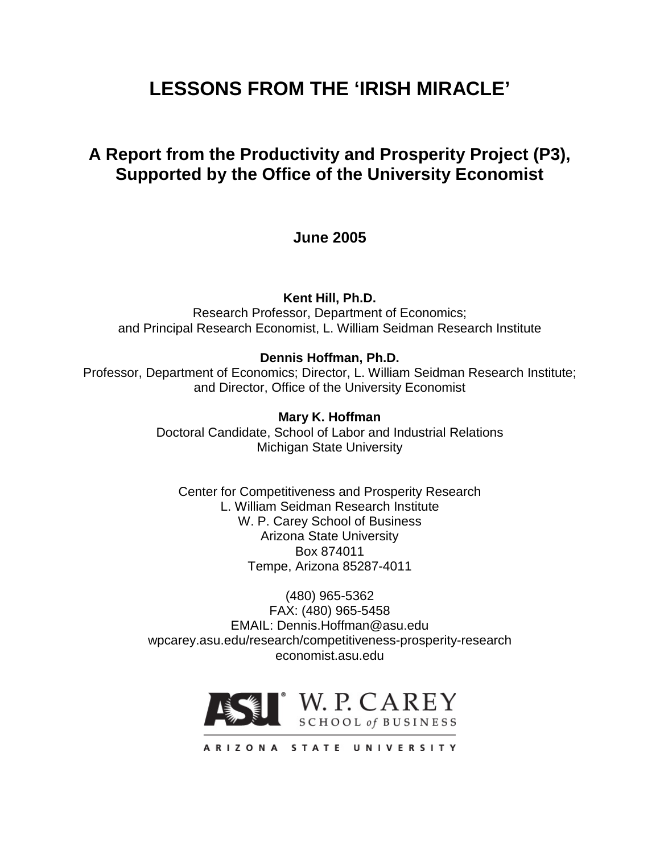# **LESSONS FROM THE 'IRISH MIRACLE'**

# **A Report from the Productivity and Prosperity Project (P3), Supported by the Office of the University Economist**

# **June 2005**

**Kent Hill, Ph.D.**

Research Professor, Department of Economics; and Principal Research Economist, L. William Seidman Research Institute

# **Dennis Hoffman, Ph.D.**

Professor, Department of Economics; Director, L. William Seidman Research Institute; and Director, Office of the University Economist

# **Mary K. Hoffman**

Doctoral Candidate, School of Labor and Industrial Relations Michigan State University

Center for Competitiveness and Prosperity Research L. William Seidman Research Institute W. P. Carey School of Business Arizona State University Box 874011 Tempe, Arizona 85287-4011

(480) 965-5362 FAX: (480) 965-5458 EMAIL: Dennis.Hoffman@asu.edu wpcarey.asu.edu/research/competitiveness-prosperity-research economist.asu.edu

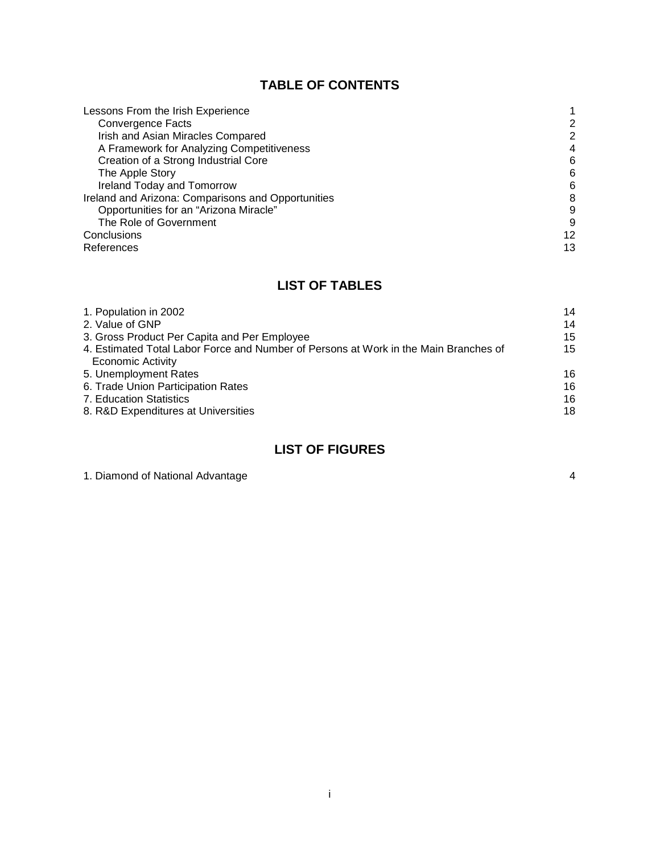# **TABLE OF CONTENTS**

| Lessons From the Irish Experience                  |    |
|----------------------------------------------------|----|
| Convergence Facts                                  | 2  |
| Irish and Asian Miracles Compared                  | 2  |
| A Framework for Analyzing Competitiveness          | 4  |
| Creation of a Strong Industrial Core               | 6  |
| The Apple Story                                    | 6  |
| Ireland Today and Tomorrow                         | 6  |
| Ireland and Arizona: Comparisons and Opportunities | 8  |
| Opportunities for an "Arizona Miracle"             | 9  |
| The Role of Government                             | 9  |
| Conclusions                                        | 12 |
| References                                         | 13 |

# **LIST OF TABLES**

| 1. Population in 2002                                                                | 14 |
|--------------------------------------------------------------------------------------|----|
| 2. Value of GNP                                                                      | 14 |
| 3. Gross Product Per Capita and Per Employee                                         | 15 |
| 4. Estimated Total Labor Force and Number of Persons at Work in the Main Branches of | 15 |
| <b>Economic Activity</b>                                                             |    |
| 5. Unemployment Rates                                                                | 16 |
| 6. Trade Union Participation Rates                                                   | 16 |
| 7. Education Statistics                                                              | 16 |
| 8. R&D Expenditures at Universities                                                  | 18 |

# **LIST OF FIGURES**

| 1. Diamond of National Advantage |  |
|----------------------------------|--|
|----------------------------------|--|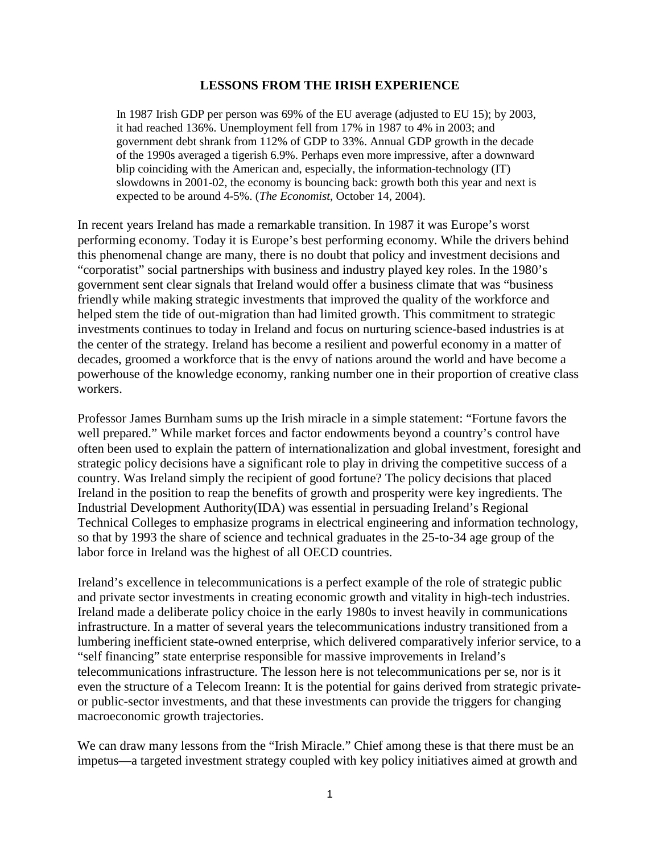### **LESSONS FROM THE IRISH EXPERIENCE**

In 1987 Irish GDP per person was 69% of the EU average (adjusted to EU 15); by 2003, it had reached 136%. Unemployment fell from 17% in 1987 to 4% in 2003; and government debt shrank from 112% of GDP to 33%. Annual GDP growth in the decade of the 1990s averaged a tigerish 6.9%. Perhaps even more impressive, after a downward blip coinciding with the American and, especially, the information-technology (IT) slowdowns in 2001-02, the economy is bouncing back: growth both this year and next is expected to be around 4-5%. (*The Economist*, October 14, 2004).

In recent years Ireland has made a remarkable transition. In 1987 it was Europe's worst performing economy. Today it is Europe's best performing economy. While the drivers behind this phenomenal change are many, there is no doubt that policy and investment decisions and "corporatist" social partnerships with business and industry played key roles. In the 1980's government sent clear signals that Ireland would offer a business climate that was "business friendly while making strategic investments that improved the quality of the workforce and helped stem the tide of out-migration than had limited growth. This commitment to strategic investments continues to today in Ireland and focus on nurturing science-based industries is at the center of the strategy. Ireland has become a resilient and powerful economy in a matter of decades, groomed a workforce that is the envy of nations around the world and have become a powerhouse of the knowledge economy, ranking number one in their proportion of creative class workers.

Professor James Burnham sums up the Irish miracle in a simple statement: "Fortune favors the well prepared." While market forces and factor endowments beyond a country's control have often been used to explain the pattern of internationalization and global investment, foresight and strategic policy decisions have a significant role to play in driving the competitive success of a country. Was Ireland simply the recipient of good fortune? The policy decisions that placed Ireland in the position to reap the benefits of growth and prosperity were key ingredients. The Industrial Development Authority(IDA) was essential in persuading Ireland's Regional Technical Colleges to emphasize programs in electrical engineering and information technology, so that by 1993 the share of science and technical graduates in the 25-to-34 age group of the labor force in Ireland was the highest of all OECD countries.

Ireland's excellence in telecommunications is a perfect example of the role of strategic public and private sector investments in creating economic growth and vitality in high-tech industries. Ireland made a deliberate policy choice in the early 1980s to invest heavily in communications infrastructure. In a matter of several years the telecommunications industry transitioned from a lumbering inefficient state-owned enterprise, which delivered comparatively inferior service, to a "self financing" state enterprise responsible for massive improvements in Ireland's telecommunications infrastructure. The lesson here is not telecommunications per se, nor is it even the structure of a Telecom Ireann: It is the potential for gains derived from strategic privateor public-sector investments, and that these investments can provide the triggers for changing macroeconomic growth trajectories.

We can draw many lessons from the "Irish Miracle." Chief among these is that there must be an impetus—a targeted investment strategy coupled with key policy initiatives aimed at growth and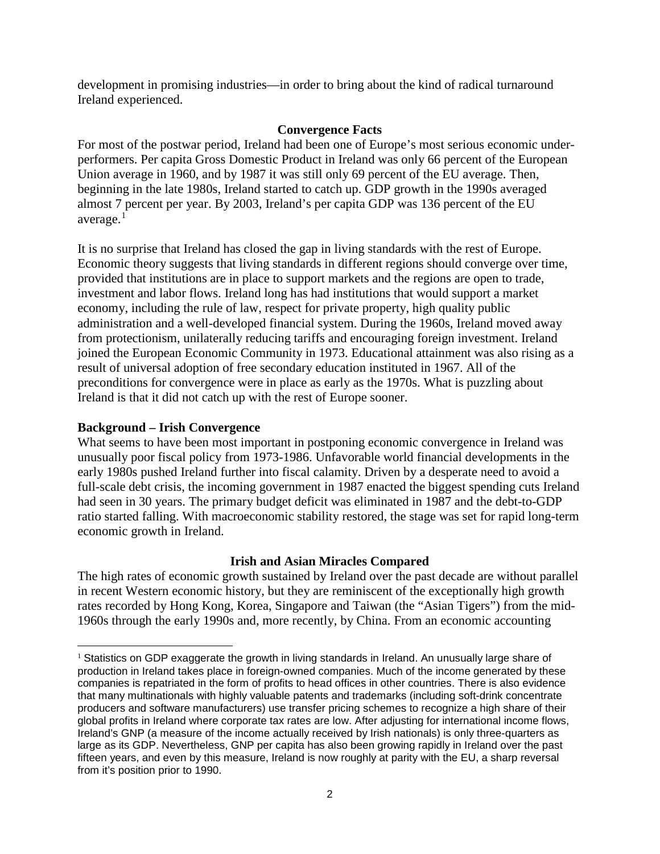development in promising industries—in order to bring about the kind of radical turnaround Ireland experienced.

# **Convergence Facts**

For most of the postwar period, Ireland had been one of Europe's most serious economic underperformers. Per capita Gross Domestic Product in Ireland was only 66 percent of the European Union average in 1960, and by 1987 it was still only 69 percent of the EU average. Then, beginning in the late 1980s, Ireland started to catch up. GDP growth in the 1990s averaged almost 7 percent per year. By 2003, Ireland's per capita GDP was 136 percent of the EU average. $<sup>1</sup>$  $<sup>1</sup>$  $<sup>1</sup>$ </sup>

It is no surprise that Ireland has closed the gap in living standards with the rest of Europe. Economic theory suggests that living standards in different regions should converge over time, provided that institutions are in place to support markets and the regions are open to trade, investment and labor flows. Ireland long has had institutions that would support a market economy, including the rule of law, respect for private property, high quality public administration and a well-developed financial system. During the 1960s, Ireland moved away from protectionism, unilaterally reducing tariffs and encouraging foreign investment. Ireland joined the European Economic Community in 1973. Educational attainment was also rising as a result of universal adoption of free secondary education instituted in 1967. All of the preconditions for convergence were in place as early as the 1970s. What is puzzling about Ireland is that it did not catch up with the rest of Europe sooner.

## **Background – Irish Convergence**

 $\overline{a}$ 

What seems to have been most important in postponing economic convergence in Ireland was unusually poor fiscal policy from 1973-1986. Unfavorable world financial developments in the early 1980s pushed Ireland further into fiscal calamity. Driven by a desperate need to avoid a full-scale debt crisis, the incoming government in 1987 enacted the biggest spending cuts Ireland had seen in 30 years. The primary budget deficit was eliminated in 1987 and the debt-to-GDP ratio started falling. With macroeconomic stability restored, the stage was set for rapid long-term economic growth in Ireland.

# **Irish and Asian Miracles Compared**

The high rates of economic growth sustained by Ireland over the past decade are without parallel in recent Western economic history, but they are reminiscent of the exceptionally high growth rates recorded by Hong Kong, Korea, Singapore and Taiwan (the "Asian Tigers") from the mid-1960s through the early 1990s and, more recently, by China. From an economic accounting

<span id="page-3-0"></span><sup>&</sup>lt;sup>1</sup> Statistics on GDP exaggerate the growth in living standards in Ireland. An unusually large share of production in Ireland takes place in foreign-owned companies. Much of the income generated by these companies is repatriated in the form of profits to head offices in other countries. There is also evidence that many multinationals with highly valuable patents and trademarks (including soft-drink concentrate producers and software manufacturers) use transfer pricing schemes to recognize a high share of their global profits in Ireland where corporate tax rates are low. After adjusting for international income flows, Ireland's GNP (a measure of the income actually received by Irish nationals) is only three-quarters as large as its GDP. Nevertheless, GNP per capita has also been growing rapidly in Ireland over the past fifteen years, and even by this measure, Ireland is now roughly at parity with the EU, a sharp reversal from it's position prior to 1990.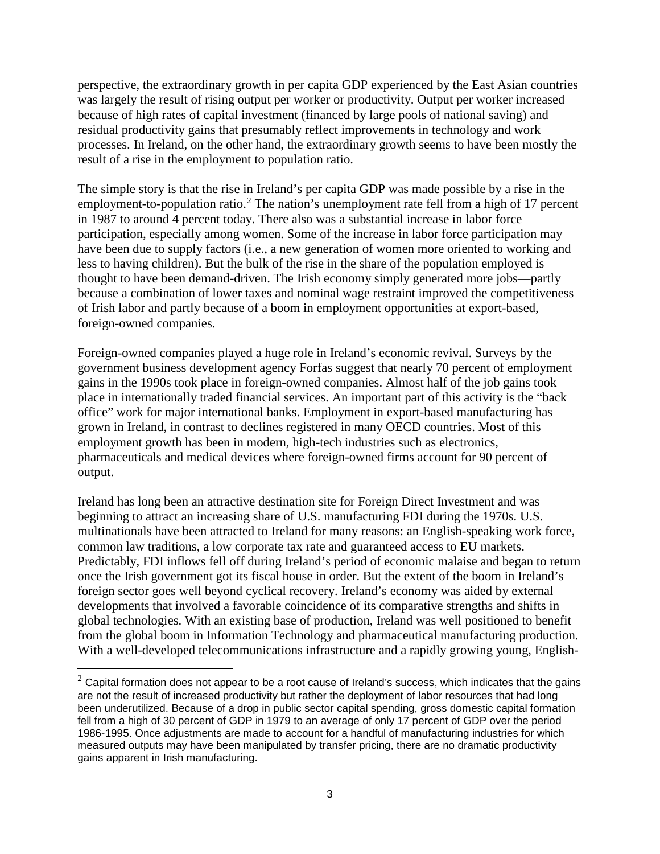perspective, the extraordinary growth in per capita GDP experienced by the East Asian countries was largely the result of rising output per worker or productivity. Output per worker increased because of high rates of capital investment (financed by large pools of national saving) and residual productivity gains that presumably reflect improvements in technology and work processes. In Ireland, on the other hand, the extraordinary growth seems to have been mostly the result of a rise in the employment to population ratio.

The simple story is that the rise in Ireland's per capita GDP was made possible by a rise in the employment-to-population ratio.<sup>[2](#page-4-0)</sup> The nation's unemployment rate fell from a high of 17 percent in 1987 to around 4 percent today. There also was a substantial increase in labor force participation, especially among women. Some of the increase in labor force participation may have been due to supply factors (i.e., a new generation of women more oriented to working and less to having children). But the bulk of the rise in the share of the population employed is thought to have been demand-driven. The Irish economy simply generated more jobs—partly because a combination of lower taxes and nominal wage restraint improved the competitiveness of Irish labor and partly because of a boom in employment opportunities at export-based, foreign-owned companies.

Foreign-owned companies played a huge role in Ireland's economic revival. Surveys by the government business development agency Forfas suggest that nearly 70 percent of employment gains in the 1990s took place in foreign-owned companies. Almost half of the job gains took place in internationally traded financial services. An important part of this activity is the "back office" work for major international banks. Employment in export-based manufacturing has grown in Ireland, in contrast to declines registered in many OECD countries. Most of this employment growth has been in modern, high-tech industries such as electronics, pharmaceuticals and medical devices where foreign-owned firms account for 90 percent of output.

Ireland has long been an attractive destination site for Foreign Direct Investment and was beginning to attract an increasing share of U.S. manufacturing FDI during the 1970s. U.S. multinationals have been attracted to Ireland for many reasons: an English-speaking work force, common law traditions, a low corporate tax rate and guaranteed access to EU markets. Predictably, FDI inflows fell off during Ireland's period of economic malaise and began to return once the Irish government got its fiscal house in order. But the extent of the boom in Ireland's foreign sector goes well beyond cyclical recovery. Ireland's economy was aided by external developments that involved a favorable coincidence of its comparative strengths and shifts in global technologies. With an existing base of production, Ireland was well positioned to benefit from the global boom in Information Technology and pharmaceutical manufacturing production. With a well-developed telecommunications infrastructure and a rapidly growing young, English-

 $\overline{a}$ 

<span id="page-4-0"></span> $2$  Capital formation does not appear to be a root cause of Ireland's success, which indicates that the gains are not the result of increased productivity but rather the deployment of labor resources that had long been underutilized. Because of a drop in public sector capital spending, gross domestic capital formation fell from a high of 30 percent of GDP in 1979 to an average of only 17 percent of GDP over the period 1986-1995. Once adjustments are made to account for a handful of manufacturing industries for which measured outputs may have been manipulated by transfer pricing, there are no dramatic productivity gains apparent in Irish manufacturing.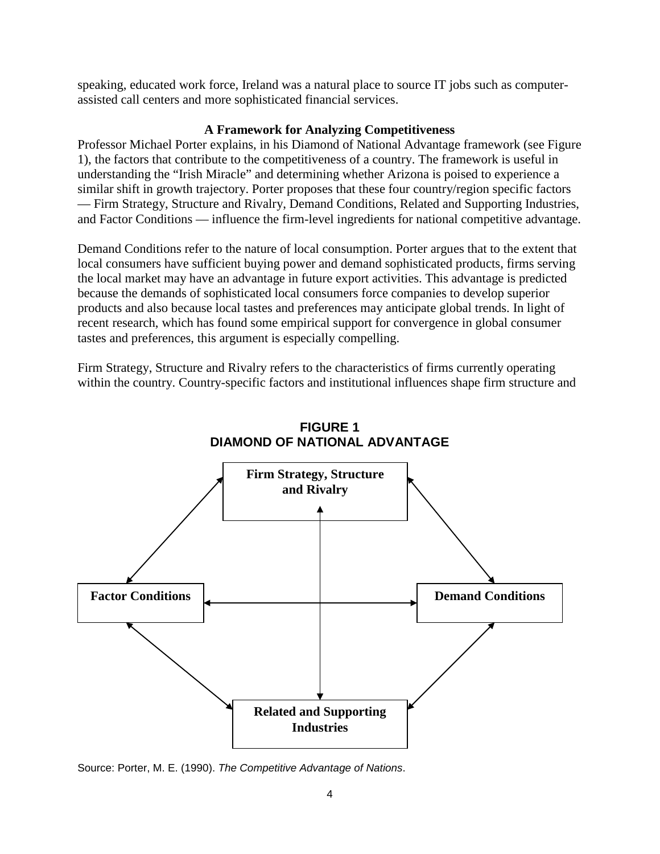speaking, educated work force, Ireland was a natural place to source IT jobs such as computerassisted call centers and more sophisticated financial services.

# **A Framework for Analyzing Competitiveness**

Professor Michael Porter explains, in his Diamond of National Advantage framework (see Figure 1), the factors that contribute to the competitiveness of a country. The framework is useful in understanding the "Irish Miracle" and determining whether Arizona is poised to experience a similar shift in growth trajectory. Porter proposes that these four country/region specific factors — Firm Strategy, Structure and Rivalry, Demand Conditions, Related and Supporting Industries, and Factor Conditions — influence the firm-level ingredients for national competitive advantage.

Demand Conditions refer to the nature of local consumption. Porter argues that to the extent that local consumers have sufficient buying power and demand sophisticated products, firms serving the local market may have an advantage in future export activities. This advantage is predicted because the demands of sophisticated local consumers force companies to develop superior products and also because local tastes and preferences may anticipate global trends. In light of recent research, which has found some empirical support for convergence in global consumer tastes and preferences, this argument is especially compelling.

Firm Strategy, Structure and Rivalry refers to the characteristics of firms currently operating within the country. Country-specific factors and institutional influences shape firm structure and



**FIGURE 1 DIAMOND OF NATIONAL ADVANTAGE**

Source: Porter, M. E. (1990). *The Competitive Advantage of Nations*.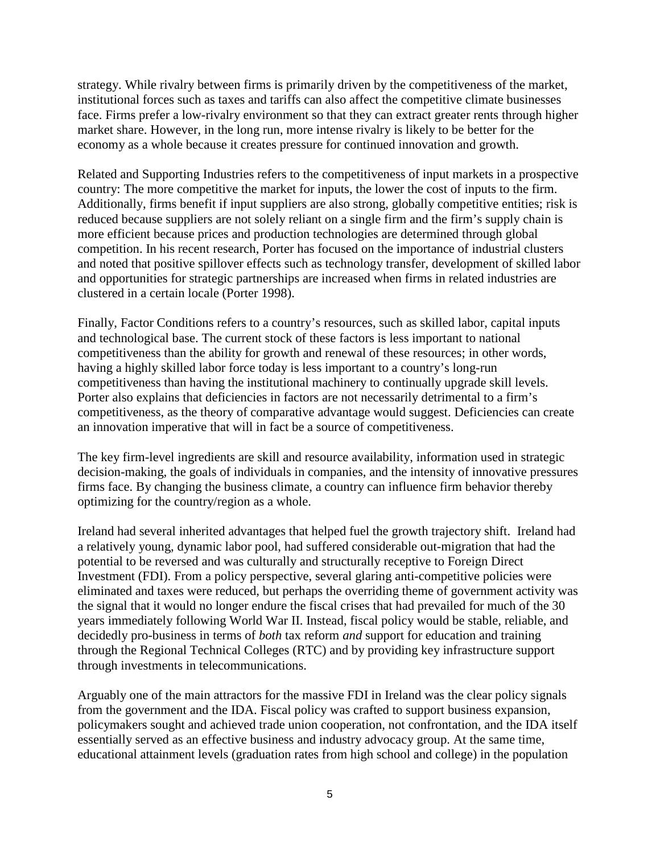strategy. While rivalry between firms is primarily driven by the competitiveness of the market, institutional forces such as taxes and tariffs can also affect the competitive climate businesses face. Firms prefer a low-rivalry environment so that they can extract greater rents through higher market share. However, in the long run, more intense rivalry is likely to be better for the economy as a whole because it creates pressure for continued innovation and growth.

Related and Supporting Industries refers to the competitiveness of input markets in a prospective country: The more competitive the market for inputs, the lower the cost of inputs to the firm. Additionally, firms benefit if input suppliers are also strong, globally competitive entities; risk is reduced because suppliers are not solely reliant on a single firm and the firm's supply chain is more efficient because prices and production technologies are determined through global competition. In his recent research, Porter has focused on the importance of industrial clusters and noted that positive spillover effects such as technology transfer, development of skilled labor and opportunities for strategic partnerships are increased when firms in related industries are clustered in a certain locale (Porter 1998).

Finally, Factor Conditions refers to a country's resources, such as skilled labor, capital inputs and technological base. The current stock of these factors is less important to national competitiveness than the ability for growth and renewal of these resources; in other words, having a highly skilled labor force today is less important to a country's long-run competitiveness than having the institutional machinery to continually upgrade skill levels. Porter also explains that deficiencies in factors are not necessarily detrimental to a firm's competitiveness, as the theory of comparative advantage would suggest. Deficiencies can create an innovation imperative that will in fact be a source of competitiveness.

The key firm-level ingredients are skill and resource availability, information used in strategic decision-making, the goals of individuals in companies, and the intensity of innovative pressures firms face. By changing the business climate, a country can influence firm behavior thereby optimizing for the country/region as a whole.

Ireland had several inherited advantages that helped fuel the growth trajectory shift. Ireland had a relatively young, dynamic labor pool, had suffered considerable out-migration that had the potential to be reversed and was culturally and structurally receptive to Foreign Direct Investment (FDI). From a policy perspective, several glaring anti-competitive policies were eliminated and taxes were reduced, but perhaps the overriding theme of government activity was the signal that it would no longer endure the fiscal crises that had prevailed for much of the 30 years immediately following World War II. Instead, fiscal policy would be stable, reliable, and decidedly pro-business in terms of *both* tax reform *and* support for education and training through the Regional Technical Colleges (RTC) and by providing key infrastructure support through investments in telecommunications.

Arguably one of the main attractors for the massive FDI in Ireland was the clear policy signals from the government and the IDA. Fiscal policy was crafted to support business expansion, policymakers sought and achieved trade union cooperation, not confrontation, and the IDA itself essentially served as an effective business and industry advocacy group. At the same time, educational attainment levels (graduation rates from high school and college) in the population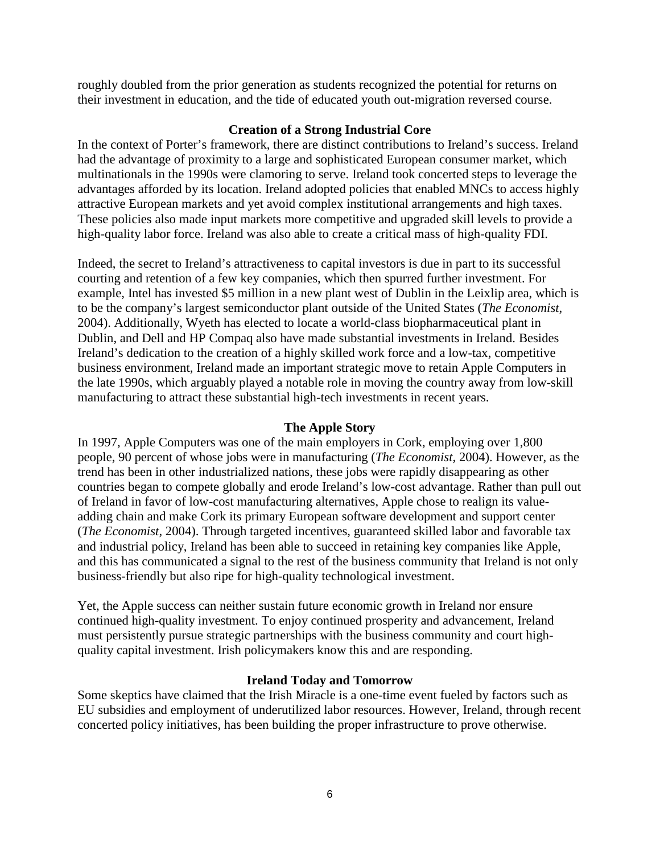roughly doubled from the prior generation as students recognized the potential for returns on their investment in education, and the tide of educated youth out-migration reversed course.

## **Creation of a Strong Industrial Core**

In the context of Porter's framework, there are distinct contributions to Ireland's success. Ireland had the advantage of proximity to a large and sophisticated European consumer market, which multinationals in the 1990s were clamoring to serve. Ireland took concerted steps to leverage the advantages afforded by its location. Ireland adopted policies that enabled MNCs to access highly attractive European markets and yet avoid complex institutional arrangements and high taxes. These policies also made input markets more competitive and upgraded skill levels to provide a high-quality labor force. Ireland was also able to create a critical mass of high-quality FDI.

Indeed, the secret to Ireland's attractiveness to capital investors is due in part to its successful courting and retention of a few key companies, which then spurred further investment. For example, Intel has invested \$5 million in a new plant west of Dublin in the Leixlip area, which is to be the company's largest semiconductor plant outside of the United States (*The Economist*, 2004). Additionally, Wyeth has elected to locate a world-class biopharmaceutical plant in Dublin, and Dell and HP Compaq also have made substantial investments in Ireland. Besides Ireland's dedication to the creation of a highly skilled work force and a low-tax, competitive business environment, Ireland made an important strategic move to retain Apple Computers in the late 1990s, which arguably played a notable role in moving the country away from low-skill manufacturing to attract these substantial high-tech investments in recent years.

### **The Apple Story**

In 1997, Apple Computers was one of the main employers in Cork, employing over 1,800 people, 90 percent of whose jobs were in manufacturing (*The Economist,* 2004). However, as the trend has been in other industrialized nations, these jobs were rapidly disappearing as other countries began to compete globally and erode Ireland's low-cost advantage. Rather than pull out of Ireland in favor of low-cost manufacturing alternatives, Apple chose to realign its valueadding chain and make Cork its primary European software development and support center (*The Economist*, 2004). Through targeted incentives, guaranteed skilled labor and favorable tax and industrial policy, Ireland has been able to succeed in retaining key companies like Apple, and this has communicated a signal to the rest of the business community that Ireland is not only business-friendly but also ripe for high-quality technological investment.

Yet, the Apple success can neither sustain future economic growth in Ireland nor ensure continued high-quality investment. To enjoy continued prosperity and advancement, Ireland must persistently pursue strategic partnerships with the business community and court highquality capital investment. Irish policymakers know this and are responding.

# **Ireland Today and Tomorrow**

Some skeptics have claimed that the Irish Miracle is a one-time event fueled by factors such as EU subsidies and employment of underutilized labor resources. However, Ireland, through recent concerted policy initiatives, has been building the proper infrastructure to prove otherwise.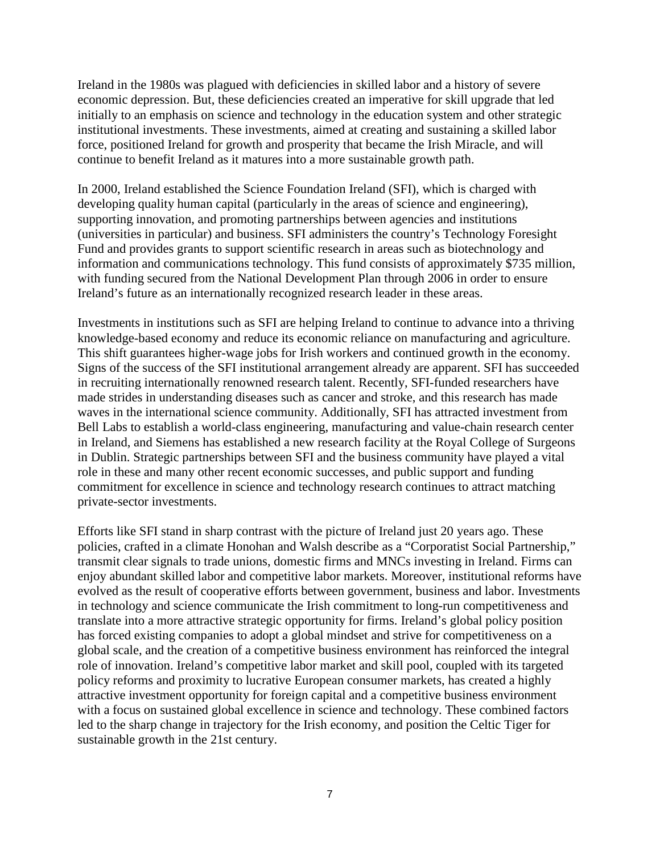Ireland in the 1980s was plagued with deficiencies in skilled labor and a history of severe economic depression. But, these deficiencies created an imperative for skill upgrade that led initially to an emphasis on science and technology in the education system and other strategic institutional investments. These investments, aimed at creating and sustaining a skilled labor force, positioned Ireland for growth and prosperity that became the Irish Miracle, and will continue to benefit Ireland as it matures into a more sustainable growth path.

In 2000, Ireland established the Science Foundation Ireland (SFI), which is charged with developing quality human capital (particularly in the areas of science and engineering), supporting innovation, and promoting partnerships between agencies and institutions (universities in particular) and business. SFI administers the country's Technology Foresight Fund and provides grants to support scientific research in areas such as biotechnology and information and communications technology. This fund consists of approximately \$735 million, with funding secured from the National Development Plan through 2006 in order to ensure Ireland's future as an internationally recognized research leader in these areas.

Investments in institutions such as SFI are helping Ireland to continue to advance into a thriving knowledge-based economy and reduce its economic reliance on manufacturing and agriculture. This shift guarantees higher-wage jobs for Irish workers and continued growth in the economy. Signs of the success of the SFI institutional arrangement already are apparent. SFI has succeeded in recruiting internationally renowned research talent. Recently, SFI-funded researchers have made strides in understanding diseases such as cancer and stroke, and this research has made waves in the international science community. Additionally, SFI has attracted investment from Bell Labs to establish a world-class engineering, manufacturing and value-chain research center in Ireland, and Siemens has established a new research facility at the Royal College of Surgeons in Dublin. Strategic partnerships between SFI and the business community have played a vital role in these and many other recent economic successes, and public support and funding commitment for excellence in science and technology research continues to attract matching private-sector investments.

Efforts like SFI stand in sharp contrast with the picture of Ireland just 20 years ago. These policies, crafted in a climate Honohan and Walsh describe as a "Corporatist Social Partnership," transmit clear signals to trade unions, domestic firms and MNCs investing in Ireland. Firms can enjoy abundant skilled labor and competitive labor markets. Moreover, institutional reforms have evolved as the result of cooperative efforts between government, business and labor. Investments in technology and science communicate the Irish commitment to long-run competitiveness and translate into a more attractive strategic opportunity for firms. Ireland's global policy position has forced existing companies to adopt a global mindset and strive for competitiveness on a global scale, and the creation of a competitive business environment has reinforced the integral role of innovation. Ireland's competitive labor market and skill pool, coupled with its targeted policy reforms and proximity to lucrative European consumer markets, has created a highly attractive investment opportunity for foreign capital and a competitive business environment with a focus on sustained global excellence in science and technology. These combined factors led to the sharp change in trajectory for the Irish economy, and position the Celtic Tiger for sustainable growth in the 21st century.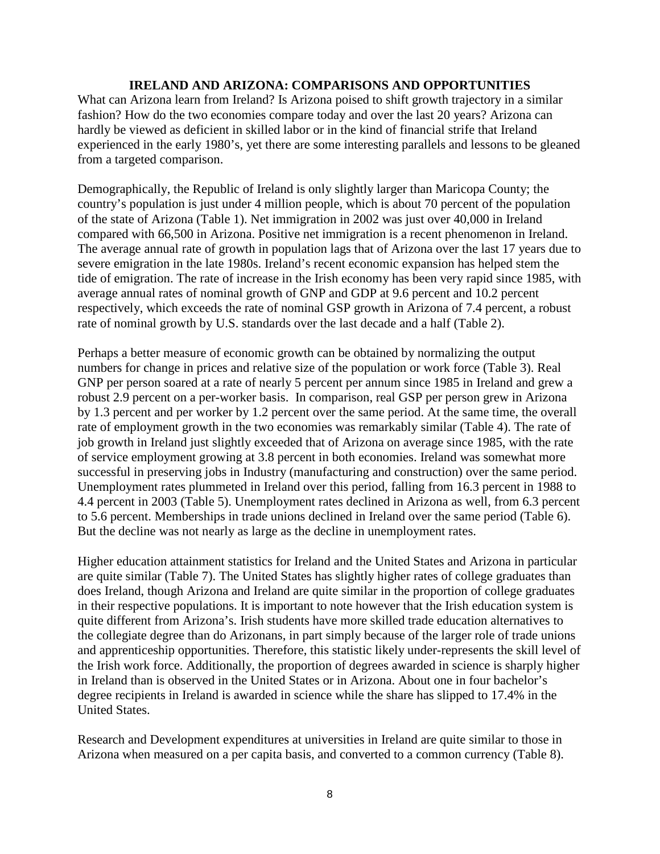# **IRELAND AND ARIZONA: COMPARISONS AND OPPORTUNITIES**

What can Arizona learn from Ireland? Is Arizona poised to shift growth trajectory in a similar fashion? How do the two economies compare today and over the last 20 years? Arizona can hardly be viewed as deficient in skilled labor or in the kind of financial strife that Ireland experienced in the early 1980's, yet there are some interesting parallels and lessons to be gleaned from a targeted comparison.

Demographically, the Republic of Ireland is only slightly larger than Maricopa County; the country's population is just under 4 million people, which is about 70 percent of the population of the state of Arizona (Table 1). Net immigration in 2002 was just over 40,000 in Ireland compared with 66,500 in Arizona. Positive net immigration is a recent phenomenon in Ireland. The average annual rate of growth in population lags that of Arizona over the last 17 years due to severe emigration in the late 1980s. Ireland's recent economic expansion has helped stem the tide of emigration. The rate of increase in the Irish economy has been very rapid since 1985, with average annual rates of nominal growth of GNP and GDP at 9.6 percent and 10.2 percent respectively, which exceeds the rate of nominal GSP growth in Arizona of 7.4 percent, a robust rate of nominal growth by U.S. standards over the last decade and a half (Table 2).

Perhaps a better measure of economic growth can be obtained by normalizing the output numbers for change in prices and relative size of the population or work force (Table 3). Real GNP per person soared at a rate of nearly 5 percent per annum since 1985 in Ireland and grew a robust 2.9 percent on a per-worker basis. In comparison, real GSP per person grew in Arizona by 1.3 percent and per worker by 1.2 percent over the same period. At the same time, the overall rate of employment growth in the two economies was remarkably similar (Table 4). The rate of job growth in Ireland just slightly exceeded that of Arizona on average since 1985, with the rate of service employment growing at 3.8 percent in both economies. Ireland was somewhat more successful in preserving jobs in Industry (manufacturing and construction) over the same period. Unemployment rates plummeted in Ireland over this period, falling from 16.3 percent in 1988 to 4.4 percent in 2003 (Table 5). Unemployment rates declined in Arizona as well, from 6.3 percent to 5.6 percent. Memberships in trade unions declined in Ireland over the same period (Table 6). But the decline was not nearly as large as the decline in unemployment rates.

Higher education attainment statistics for Ireland and the United States and Arizona in particular are quite similar (Table 7). The United States has slightly higher rates of college graduates than does Ireland, though Arizona and Ireland are quite similar in the proportion of college graduates in their respective populations. It is important to note however that the Irish education system is quite different from Arizona's. Irish students have more skilled trade education alternatives to the collegiate degree than do Arizonans, in part simply because of the larger role of trade unions and apprenticeship opportunities. Therefore, this statistic likely under-represents the skill level of the Irish work force. Additionally, the proportion of degrees awarded in science is sharply higher in Ireland than is observed in the United States or in Arizona. About one in four bachelor's degree recipients in Ireland is awarded in science while the share has slipped to 17.4% in the United States.

Research and Development expenditures at universities in Ireland are quite similar to those in Arizona when measured on a per capita basis, and converted to a common currency (Table 8).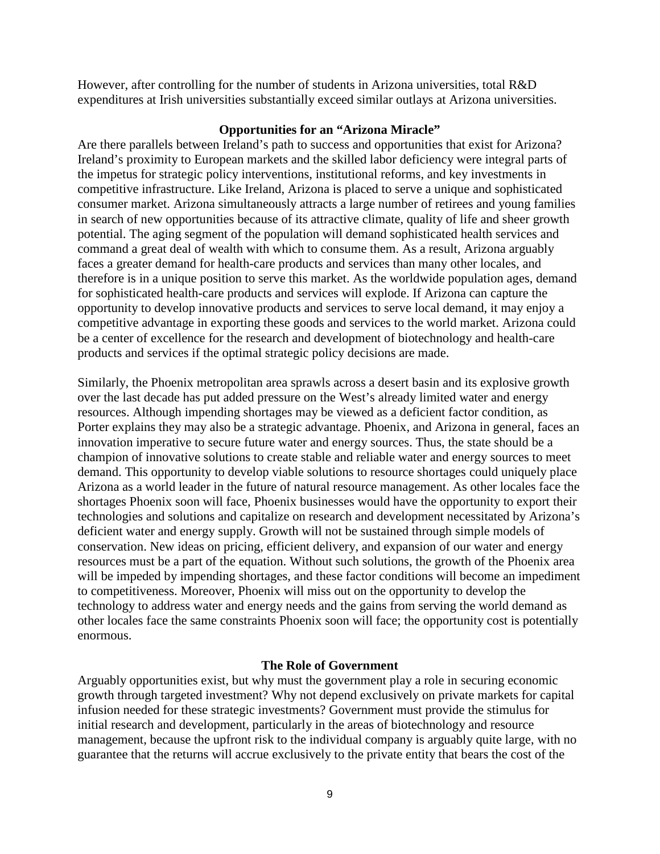However, after controlling for the number of students in Arizona universities, total R&D expenditures at Irish universities substantially exceed similar outlays at Arizona universities.

## **Opportunities for an "Arizona Miracle"**

Are there parallels between Ireland's path to success and opportunities that exist for Arizona? Ireland's proximity to European markets and the skilled labor deficiency were integral parts of the impetus for strategic policy interventions, institutional reforms, and key investments in competitive infrastructure. Like Ireland, Arizona is placed to serve a unique and sophisticated consumer market. Arizona simultaneously attracts a large number of retirees and young families in search of new opportunities because of its attractive climate, quality of life and sheer growth potential. The aging segment of the population will demand sophisticated health services and command a great deal of wealth with which to consume them. As a result, Arizona arguably faces a greater demand for health-care products and services than many other locales, and therefore is in a unique position to serve this market. As the worldwide population ages, demand for sophisticated health-care products and services will explode. If Arizona can capture the opportunity to develop innovative products and services to serve local demand, it may enjoy a competitive advantage in exporting these goods and services to the world market. Arizona could be a center of excellence for the research and development of biotechnology and health-care products and services if the optimal strategic policy decisions are made.

Similarly, the Phoenix metropolitan area sprawls across a desert basin and its explosive growth over the last decade has put added pressure on the West's already limited water and energy resources. Although impending shortages may be viewed as a deficient factor condition, as Porter explains they may also be a strategic advantage. Phoenix, and Arizona in general, faces an innovation imperative to secure future water and energy sources. Thus, the state should be a champion of innovative solutions to create stable and reliable water and energy sources to meet demand. This opportunity to develop viable solutions to resource shortages could uniquely place Arizona as a world leader in the future of natural resource management. As other locales face the shortages Phoenix soon will face, Phoenix businesses would have the opportunity to export their technologies and solutions and capitalize on research and development necessitated by Arizona's deficient water and energy supply. Growth will not be sustained through simple models of conservation. New ideas on pricing, efficient delivery, and expansion of our water and energy resources must be a part of the equation. Without such solutions, the growth of the Phoenix area will be impeded by impending shortages, and these factor conditions will become an impediment to competitiveness. Moreover, Phoenix will miss out on the opportunity to develop the technology to address water and energy needs and the gains from serving the world demand as other locales face the same constraints Phoenix soon will face; the opportunity cost is potentially enormous.

## **The Role of Government**

Arguably opportunities exist, but why must the government play a role in securing economic growth through targeted investment? Why not depend exclusively on private markets for capital infusion needed for these strategic investments? Government must provide the stimulus for initial research and development, particularly in the areas of biotechnology and resource management, because the upfront risk to the individual company is arguably quite large, with no guarantee that the returns will accrue exclusively to the private entity that bears the cost of the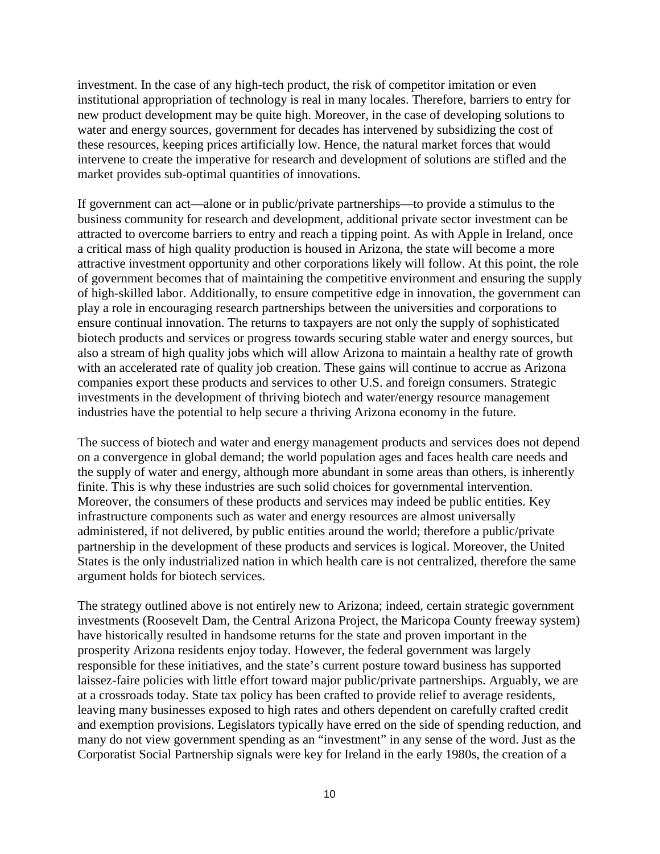investment. In the case of any high-tech product, the risk of competitor imitation or even institutional appropriation of technology is real in many locales. Therefore, barriers to entry for new product development may be quite high. Moreover, in the case of developing solutions to water and energy sources, government for decades has intervened by subsidizing the cost of these resources, keeping prices artificially low. Hence, the natural market forces that would intervene to create the imperative for research and development of solutions are stifled and the market provides sub-optimal quantities of innovations.

If government can act—alone or in public/private partnerships—to provide a stimulus to the business community for research and development, additional private sector investment can be attracted to overcome barriers to entry and reach a tipping point. As with Apple in Ireland, once a critical mass of high quality production is housed in Arizona, the state will become a more attractive investment opportunity and other corporations likely will follow. At this point, the role of government becomes that of maintaining the competitive environment and ensuring the supply of high-skilled labor. Additionally, to ensure competitive edge in innovation, the government can play a role in encouraging research partnerships between the universities and corporations to ensure continual innovation. The returns to taxpayers are not only the supply of sophisticated biotech products and services or progress towards securing stable water and energy sources, but also a stream of high quality jobs which will allow Arizona to maintain a healthy rate of growth with an accelerated rate of quality job creation. These gains will continue to accrue as Arizona companies export these products and services to other U.S. and foreign consumers. Strategic investments in the development of thriving biotech and water/energy resource management industries have the potential to help secure a thriving Arizona economy in the future.

The success of biotech and water and energy management products and services does not depend on a convergence in global demand; the world population ages and faces health care needs and the supply of water and energy, although more abundant in some areas than others, is inherently finite. This is why these industries are such solid choices for governmental intervention. Moreover, the consumers of these products and services may indeed be public entities. Key infrastructure components such as water and energy resources are almost universally administered, if not delivered, by public entities around the world; therefore a public/private partnership in the development of these products and services is logical. Moreover, the United States is the only industrialized nation in which health care is not centralized, therefore the same argument holds for biotech services.

The strategy outlined above is not entirely new to Arizona; indeed, certain strategic government investments (Roosevelt Dam, the Central Arizona Project, the Maricopa County freeway system) have historically resulted in handsome returns for the state and proven important in the prosperity Arizona residents enjoy today. However, the federal government was largely responsible for these initiatives, and the state's current posture toward business has supported laissez-faire policies with little effort toward major public/private partnerships. Arguably, we are at a crossroads today. State tax policy has been crafted to provide relief to average residents, leaving many businesses exposed to high rates and others dependent on carefully crafted credit and exemption provisions. Legislators typically have erred on the side of spending reduction, and many do not view government spending as an "investment" in any sense of the word. Just as the Corporatist Social Partnership signals were key for Ireland in the early 1980s, the creation of a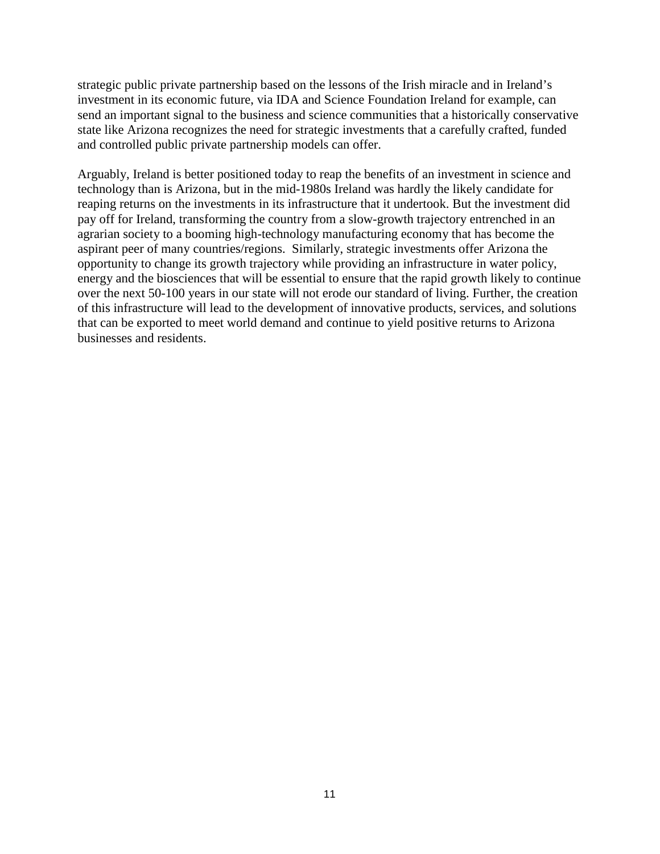strategic public private partnership based on the lessons of the Irish miracle and in Ireland's investment in its economic future, via IDA and Science Foundation Ireland for example, can send an important signal to the business and science communities that a historically conservative state like Arizona recognizes the need for strategic investments that a carefully crafted, funded and controlled public private partnership models can offer.

Arguably, Ireland is better positioned today to reap the benefits of an investment in science and technology than is Arizona, but in the mid-1980s Ireland was hardly the likely candidate for reaping returns on the investments in its infrastructure that it undertook. But the investment did pay off for Ireland, transforming the country from a slow-growth trajectory entrenched in an agrarian society to a booming high-technology manufacturing economy that has become the aspirant peer of many countries/regions. Similarly, strategic investments offer Arizona the opportunity to change its growth trajectory while providing an infrastructure in water policy, energy and the biosciences that will be essential to ensure that the rapid growth likely to continue over the next 50-100 years in our state will not erode our standard of living. Further, the creation of this infrastructure will lead to the development of innovative products, services, and solutions that can be exported to meet world demand and continue to yield positive returns to Arizona businesses and residents.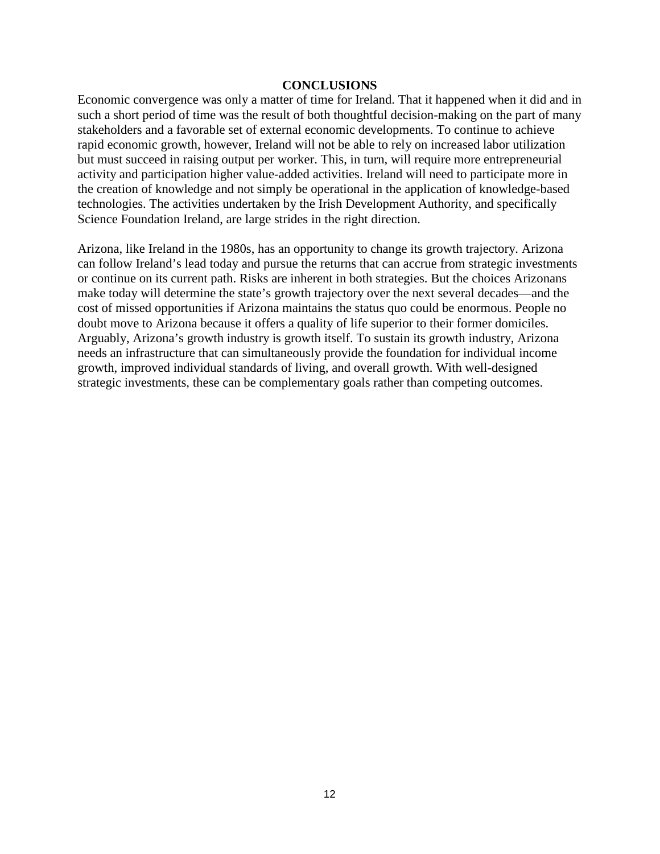#### **CONCLUSIONS**

Economic convergence was only a matter of time for Ireland. That it happened when it did and in such a short period of time was the result of both thoughtful decision-making on the part of many stakeholders and a favorable set of external economic developments. To continue to achieve rapid economic growth, however, Ireland will not be able to rely on increased labor utilization but must succeed in raising output per worker. This, in turn, will require more entrepreneurial activity and participation higher value-added activities. Ireland will need to participate more in the creation of knowledge and not simply be operational in the application of knowledge-based technologies. The activities undertaken by the Irish Development Authority, and specifically Science Foundation Ireland, are large strides in the right direction.

Arizona, like Ireland in the 1980s, has an opportunity to change its growth trajectory. Arizona can follow Ireland's lead today and pursue the returns that can accrue from strategic investments or continue on its current path. Risks are inherent in both strategies. But the choices Arizonans make today will determine the state's growth trajectory over the next several decades—and the cost of missed opportunities if Arizona maintains the status quo could be enormous. People no doubt move to Arizona because it offers a quality of life superior to their former domiciles. Arguably, Arizona's growth industry is growth itself. To sustain its growth industry, Arizona needs an infrastructure that can simultaneously provide the foundation for individual income growth, improved individual standards of living, and overall growth. With well-designed strategic investments, these can be complementary goals rather than competing outcomes.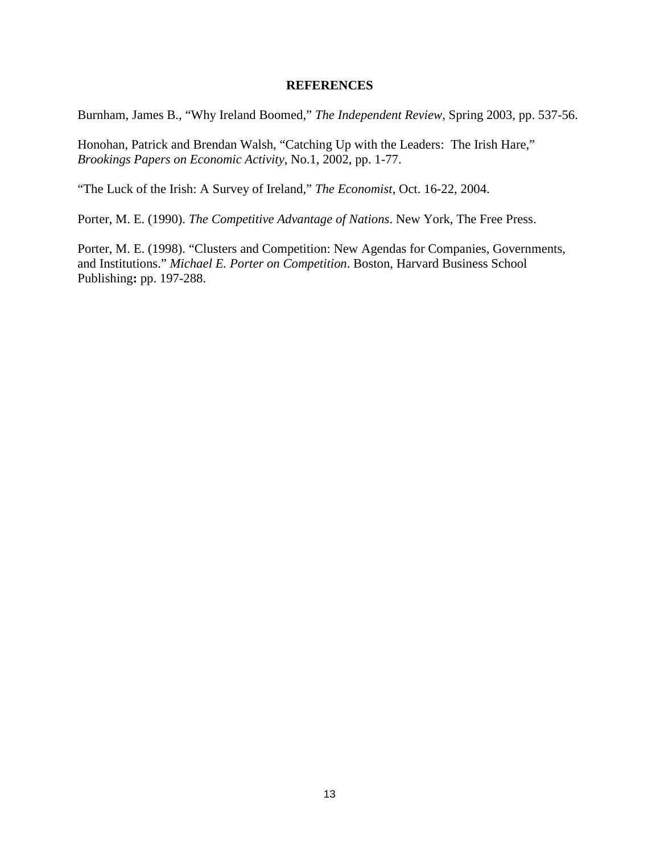### **REFERENCES**

Burnham, James B., "Why Ireland Boomed," *The Independent Review*, Spring 2003, pp. 537-56.

Honohan, Patrick and Brendan Walsh, "Catching Up with the Leaders: The Irish Hare," *Brookings Papers on Economic Activity*, No.1, 2002, pp. 1-77.

"The Luck of the Irish: A Survey of Ireland," *The Economist*, Oct. 16-22, 2004.

Porter, M. E. (1990). *The Competitive Advantage of Nations*. New York, The Free Press.

Porter, M. E. (1998). "Clusters and Competition: New Agendas for Companies, Governments, and Institutions." *Michael E. Porter on Competition*. Boston, Harvard Business School Publishing**:** pp. 197-288.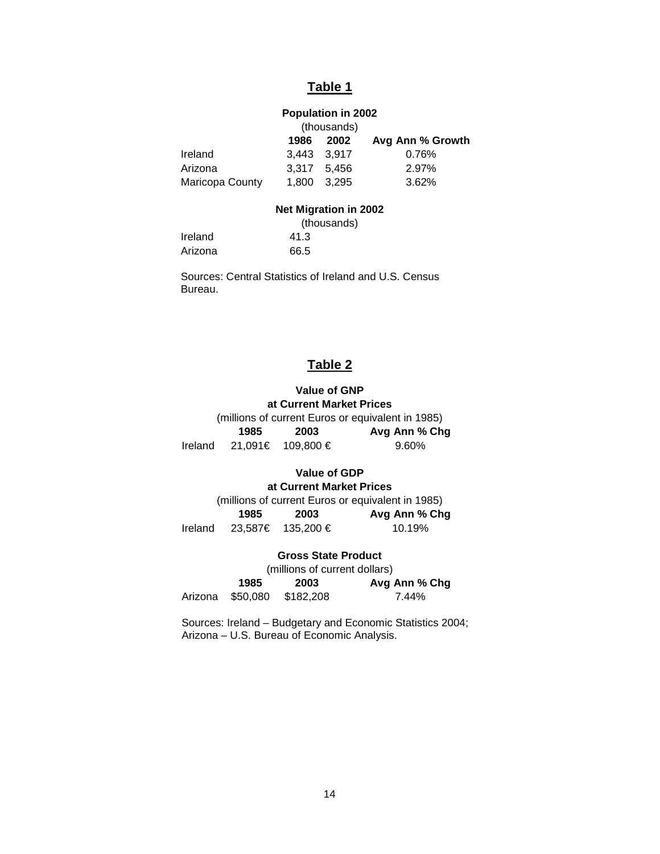# **Table 1**

# **Population in 2002**

|                 |             | (thousands) |                  |
|-----------------|-------------|-------------|------------------|
|                 | 1986        | 2002        | Avg Ann % Growth |
| Ireland         | 3.443 3.917 |             | 0.76%            |
| Arizona         |             | 3.317 5,456 | 2.97%            |
| Maricopa County |             | 1.800 3.295 | 3.62%            |
|                 |             |             |                  |

#### **Net Migration in 2002**

|         | (thousands) |
|---------|-------------|
| Ireland | 41.3        |
| Arizona | 66.5        |

Sources: Central Statistics of Ireland and U.S. Census Bureau.

# **Table 2**

# **Value of GNP at Current Market Prices**

(millions of current Euros or equivalent in 1985) **1985 2003 Avg Ann % Chg** Ireland 21,091€ 109,800 € 9.60%

# **Value of GDP**

## **at Current Market Prices**

(millions of current Euros or equivalent in 1985) **1985 2003 Avg Ann % Chg** Ireland 23,587€ 135,200 € 10.19%

#### **Gross State Product**

(millions of current dollars) **1985 2003 Avg Ann % Chg** Arizona \$50,080 \$182,208 7.44%

Sources: Ireland – Budgetary and Economic Statistics 2004; Arizona – U.S. Bureau of Economic Analysis.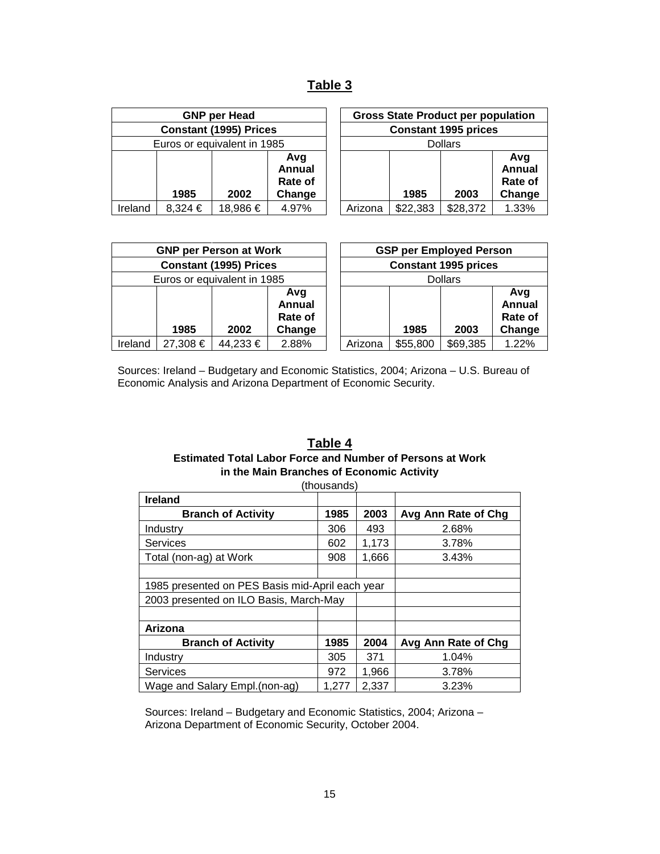# **Table 3**

|                               |         | <b>GNP per Head</b>         |                                           |         |                             | <b>Gross State Product per population</b> |                                 |
|-------------------------------|---------|-----------------------------|-------------------------------------------|---------|-----------------------------|-------------------------------------------|---------------------------------|
| <b>Constant (1995) Prices</b> |         |                             |                                           |         | <b>Constant 1995 prices</b> |                                           |                                 |
|                               |         | Euros or equivalent in 1985 |                                           |         |                             | <b>Dollars</b>                            |                                 |
|                               | 1985    | 2002                        | Avg<br><b>Annual</b><br>Rate of<br>Change |         | 1985                        | 2003                                      | Avg<br>Annua<br>Rate o<br>Chang |
| Ireland                       | 8,324 € | 18,986 €                    | 4.97%                                     | Arizona | \$22,383                    | \$28,372                                  | 1.33%                           |

|     | <b>GNP per Head</b>   |                                           | <b>Gross State Product per population</b> |         |          |          |                                           |
|-----|-----------------------|-------------------------------------------|-------------------------------------------|---------|----------|----------|-------------------------------------------|
|     | stant (1995) Prices   |                                           | <b>Constant 1995 prices</b>               |         |          |          |                                           |
|     | or equivalent in 1985 |                                           | <b>Dollars</b>                            |         |          |          |                                           |
| 85  | 2002                  | Avg<br><b>Annual</b><br>Rate of<br>Change |                                           |         | 1985     | 2003     | Avg<br><b>Annual</b><br>Rate of<br>Change |
| 24€ | 18,986 €              | 4.97%                                     |                                           | Arizona | \$22,383 | \$28,372 | 1.33%                                     |

| <b>GNP per Person at Work</b> |          |                             |                                           | <b>GSP per Employed Person</b> |                             |                |                                           |
|-------------------------------|----------|-----------------------------|-------------------------------------------|--------------------------------|-----------------------------|----------------|-------------------------------------------|
| <b>Constant (1995) Prices</b> |          |                             |                                           |                                | <b>Constant 1995 prices</b> |                |                                           |
|                               |          | Euros or equivalent in 1985 |                                           |                                |                             | <b>Dollars</b> |                                           |
|                               | 1985     | 2002                        | Avq<br><b>Annual</b><br>Rate of<br>Change |                                | 1985                        | 2003           | Avg<br><b>Annual</b><br>Rate of<br>Change |
| Ireland                       | 27,308 € | 44,233 €                    | 2.88%                                     | Arizona                        | \$55,800                    | \$69,385       | 1.22%                                     |

Sources: Ireland – Budgetary and Economic Statistics, 2004; Arizona – U.S. Bureau of Economic Analysis and Arizona Department of Economic Security.

## **Table 4 Estimated Total Labor Force and Number of Persons at Work in the Main Branches of Economic Activity**

| (thousands)                                     |       |       |                     |  |  |  |  |
|-------------------------------------------------|-------|-------|---------------------|--|--|--|--|
| <b>Ireland</b>                                  |       |       |                     |  |  |  |  |
| <b>Branch of Activity</b>                       | 1985  | 2003  | Avg Ann Rate of Chg |  |  |  |  |
| Industry                                        | 306   | 493   | 2.68%               |  |  |  |  |
| <b>Services</b>                                 | 602   | 1,173 | 3.78%               |  |  |  |  |
| Total (non-ag) at Work                          | 908   | 1,666 | 3.43%               |  |  |  |  |
|                                                 |       |       |                     |  |  |  |  |
| 1985 presented on PES Basis mid-April each year |       |       |                     |  |  |  |  |
| 2003 presented on ILO Basis, March-May          |       |       |                     |  |  |  |  |
|                                                 |       |       |                     |  |  |  |  |
| Arizona                                         |       |       |                     |  |  |  |  |
| <b>Branch of Activity</b>                       | 1985  | 2004  | Avg Ann Rate of Chg |  |  |  |  |
| Industry                                        | 305   | 371   | 1.04%               |  |  |  |  |
| <b>Services</b>                                 | 972   | 1,966 | 3.78%               |  |  |  |  |
| Wage and Salary Empl. (non-ag)                  | 1,277 | 2,337 | 3.23%               |  |  |  |  |

Sources: Ireland – Budgetary and Economic Statistics, 2004; Arizona – Arizona Department of Economic Security, October 2004.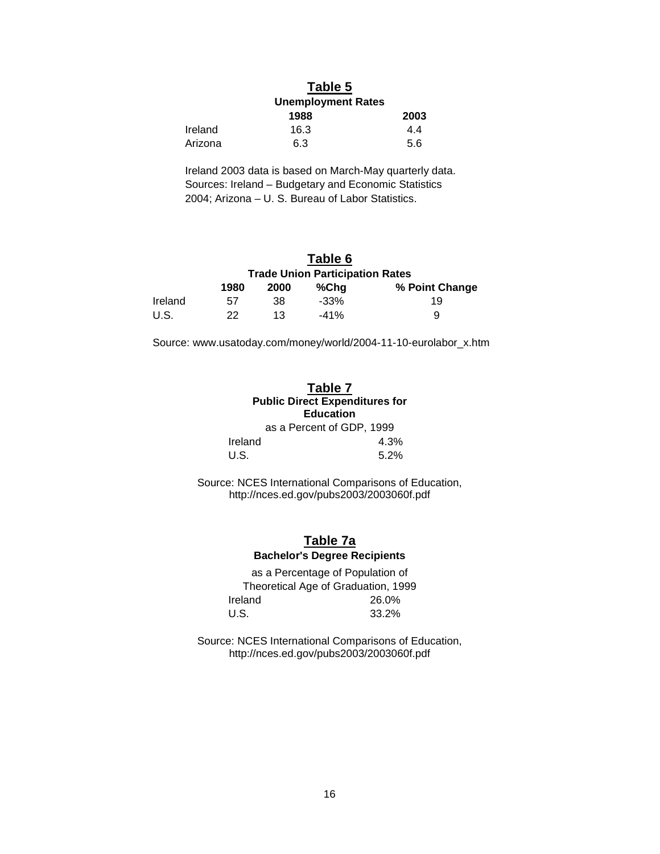# **Table 5**

|         | <b>Unemployment Rates</b> |      |  |
|---------|---------------------------|------|--|
|         | 1988                      | 2003 |  |
| Ireland | 16.3                      | 4.4  |  |
| Arizona | 6.3                       | 5.6  |  |

Ireland 2003 data is based on March-May quarterly data. Sources: Ireland – Budgetary and Economic Statistics 2004; Arizona – U. S. Bureau of Labor Statistics.

# **Table 6**

|         | <b>Trade Union Participation Rates</b> |      |         |                |  |  |  |  |
|---------|----------------------------------------|------|---------|----------------|--|--|--|--|
|         | 1980                                   | 2000 | %Cha    | % Point Change |  |  |  |  |
| Ireland | 57                                     | .38  | $-33\%$ | 19             |  |  |  |  |
| U.S.    | 22                                     | 13   | $-41%$  | a              |  |  |  |  |

Source: www.usatoday.com/money/world/2004-11-10-eurolabor\_x.htm

#### **Table 7 Public Direct Expenditures for Education** as a Percent of GDP, 1999

| Ireland | 4.3% |
|---------|------|
| U.S.    | 5.2% |

Source: NCES International Comparisons of Education, http://nces.ed.gov/pubs2003/2003060f.pdf

## **Table 7a Bachelor's Degree Recipients**

as a Percentage of Population of Theoretical Age of Graduation, 1999 Ireland 26.0% U.S. 33.2%

Source: NCES International Comparisons of Education, http://nces.ed.gov/pubs2003/2003060f.pdf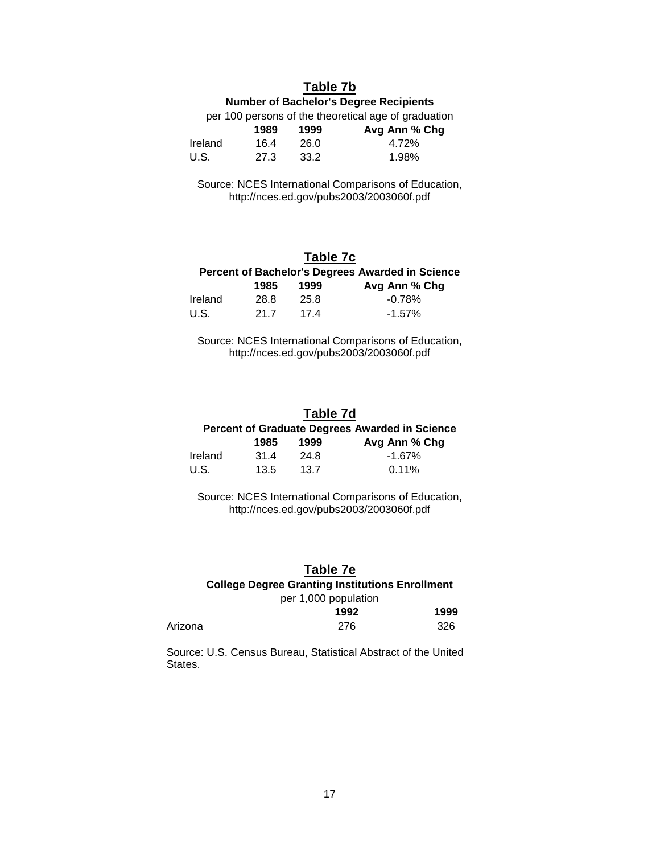## **Table 7b**

### **Number of Bachelor's Degree Recipients**

per 100 persons of the theoretical age of graduation

|         | 1989 | 1999 | Avg Ann % Chg |
|---------|------|------|---------------|
| Ireland | 164  | 26.0 | 4.72%         |
| U.S.    | 27.3 | 33.2 | 1.98%         |

Source: NCES International Comparisons of Education, http://nces.ed.gov/pubs2003/2003060f.pdf

# **Table 7c**

| Percent of Bachelor's Degrees Awarded in Science |      |      |               |  |
|--------------------------------------------------|------|------|---------------|--|
|                                                  | 1985 | 1999 | Avg Ann % Chg |  |
| Ireland                                          | 28.8 | 25.8 | $-0.78\%$     |  |
| U.S.                                             | 21.7 | 174  | $-1.57\%$     |  |

Source: NCES International Comparisons of Education, http://nces.ed.gov/pubs2003/2003060f.pdf

#### **Table 7d**

# **Percent of Graduate Degrees Awarded in Science**

|         | 1985 | 1999 | Avg Ann % Chg |
|---------|------|------|---------------|
| Ireland | 31.4 | 24.8 | -1.67%        |
| U.S.    | 13.5 | 13.7 | $0.11\%$      |

Source: NCES International Comparisons of Education, http://nces.ed.gov/pubs2003/2003060f.pdf

## **Table 7e**

## **College Degree Granting Institutions Enrollment**

### per 1,000 population

|         | 1992 | 1999 |
|---------|------|------|
| Arizona | 276  | 326  |

Source: U.S. Census Bureau, Statistical Abstract of the United States.